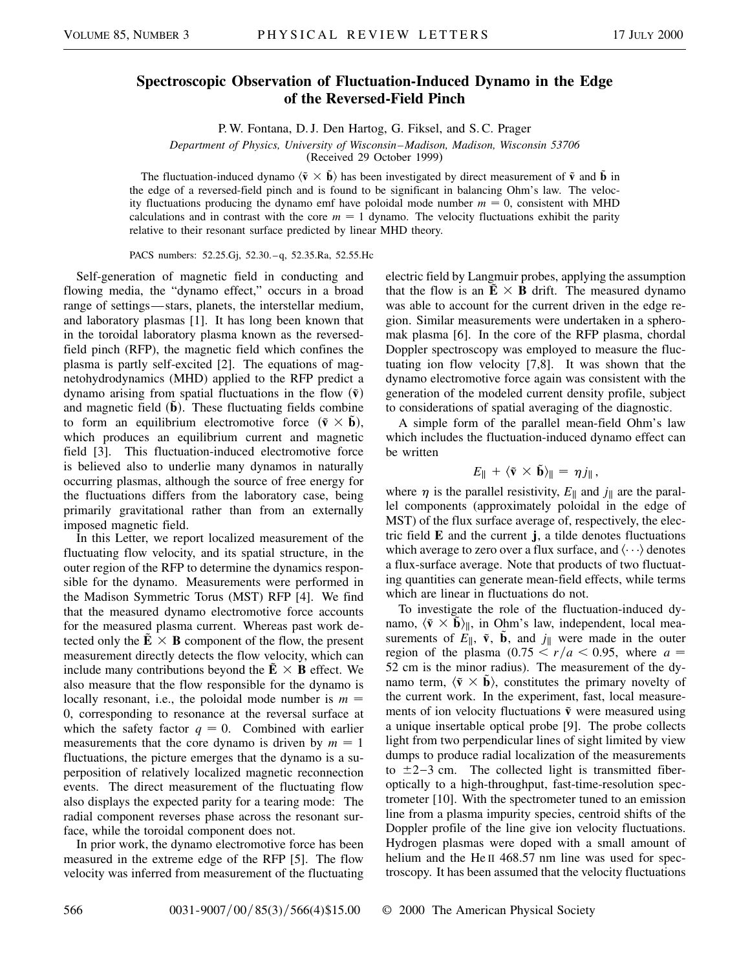## **Spectroscopic Observation of Fluctuation-Induced Dynamo in the Edge of the Reversed-Field Pinch**

P. W. Fontana, D. J. Den Hartog, G. Fiksel, and S. C. Prager

*Department of Physics, University of Wisconsin–Madison, Madison, Wisconsin 53706*

(Received 29 October 1999)

The fluctuation-induced dynamo  $\langle \tilde{v} \times \tilde{b} \rangle$  has been investigated by direct measurement of  $\tilde{v}$  and  $\tilde{b}$  in the edge of a reversed-field pinch and is found to be significant in balancing Ohm's law. The velocity fluctuations producing the dynamo emf have poloidal mode number  $m = 0$ , consistent with MHD calculations and in contrast with the core  $m = 1$  dynamo. The velocity fluctuations exhibit the parity relative to their resonant surface predicted by linear MHD theory.

PACS numbers: 52.25.Gj, 52.30.–q, 52.35.Ra, 52.55.Hc

Self-generation of magnetic field in conducting and flowing media, the "dynamo effect," occurs in a broad range of settings—stars, planets, the interstellar medium, and laboratory plasmas [1]. It has long been known that in the toroidal laboratory plasma known as the reversedfield pinch (RFP), the magnetic field which confines the plasma is partly self-excited [2]. The equations of magnetohydrodynamics (MHD) applied to the RFP predict a dynamo arising from spatial fluctuations in the flow  $(\tilde{v})$ and magnetic field  $(\mathbf{b})$ . These fluctuating fields combine to form an equilibrium electromotive force  $(\tilde{v} \times \tilde{b})$ , which produces an equilibrium current and magnetic field [3]. This fluctuation-induced electromotive force is believed also to underlie many dynamos in naturally occurring plasmas, although the source of free energy for the fluctuations differs from the laboratory case, being primarily gravitational rather than from an externally imposed magnetic field.

In this Letter, we report localized measurement of the fluctuating flow velocity, and its spatial structure, in the outer region of the RFP to determine the dynamics responsible for the dynamo. Measurements were performed in the Madison Symmetric Torus (MST) RFP [4]. We find that the measured dynamo electromotive force accounts for the measured plasma current. Whereas past work detected only the  $\tilde{E} \times B$  component of the flow, the present measurement directly detects the flow velocity, which can include many contributions beyond the  $\mathbf{E} \times \mathbf{B}$  effect. We also measure that the flow responsible for the dynamo is locally resonant, i.e., the poloidal mode number is  $m =$ 0, corresponding to resonance at the reversal surface at which the safety factor  $q = 0$ . Combined with earlier measurements that the core dynamo is driven by  $m = 1$ fluctuations, the picture emerges that the dynamo is a superposition of relatively localized magnetic reconnection events. The direct measurement of the fluctuating flow also displays the expected parity for a tearing mode: The radial component reverses phase across the resonant surface, while the toroidal component does not.

In prior work, the dynamo electromotive force has been measured in the extreme edge of the RFP [5]. The flow velocity was inferred from measurement of the fluctuating electric field by Langmuir probes, applying the assumption that the flow is an  $\tilde{E} \times B$  drift. The measured dynamo was able to account for the current driven in the edge region. Similar measurements were undertaken in a spheromak plasma [6]. In the core of the RFP plasma, chordal Doppler spectroscopy was employed to measure the fluctuating ion flow velocity [7,8]. It was shown that the dynamo electromotive force again was consistent with the generation of the modeled current density profile, subject to considerations of spatial averaging of the diagnostic.

A simple form of the parallel mean-field Ohm's law which includes the fluctuation-induced dynamo effect can be written

$$
E_{\parallel} + \langle \tilde{\mathbf{v}} \times \tilde{\mathbf{b}} \rangle_{\parallel} = \eta j_{\parallel},
$$

where  $\eta$  is the parallel resistivity,  $E_{\parallel}$  and  $j_{\parallel}$  are the parallel components (approximately poloidal in the edge of MST) of the flux surface average of, respectively, the electric field **E** and the current **j**, a tilde denotes fluctuations which average to zero over a flux surface, and  $\langle \cdots \rangle$  denotes a flux-surface average. Note that products of two fluctuating quantities can generate mean-field effects, while terms which are linear in fluctuations do not.

To investigate the role of the fluctuation-induced dynamo,  $\langle \tilde{v} \times \tilde{b} \rangle_{\parallel}$ , in Ohm's law, independent, local measurements of  $E_{\parallel}$ ,  $\tilde{\mathbf{v}}$ ,  $\tilde{\mathbf{b}}$ , and  $j_{\parallel}$  were made in the outer region of the plasma  $(0.75 \le r/a \le 0.95)$ , where  $a =$ 52 cm is the minor radius). The measurement of the dynamo term,  $\langle \tilde{v} \times \tilde{b} \rangle$ , constitutes the primary novelty of the current work. In the experiment, fast, local measurements of ion velocity fluctuations  $\tilde{v}$  were measured using a unique insertable optical probe [9]. The probe collects light from two perpendicular lines of sight limited by view dumps to produce radial localization of the measurements to  $\pm$ 2-3 cm. The collected light is transmitted fiberoptically to a high-throughput, fast-time-resolution spectrometer [10]. With the spectrometer tuned to an emission line from a plasma impurity species, centroid shifts of the Doppler profile of the line give ion velocity fluctuations. Hydrogen plasmas were doped with a small amount of helium and the He<sub>II</sub> 468.57 nm line was used for spectroscopy. It has been assumed that the velocity fluctuations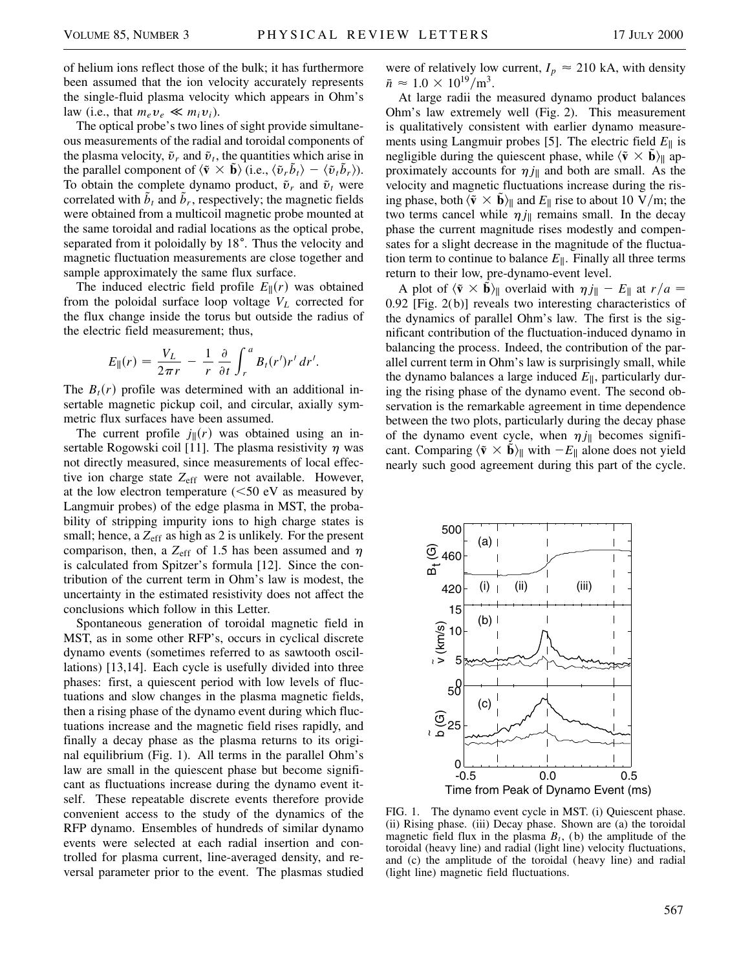of helium ions reflect those of the bulk; it has furthermore been assumed that the ion velocity accurately represents the single-fluid plasma velocity which appears in Ohm's law (i.e., that  $m_e v_e \ll m_i v_i$ ).

The optical probe's two lines of sight provide simultaneous measurements of the radial and toroidal components of the plasma velocity,  $\tilde{v}_r$  and  $\tilde{v}_t$ , the quantities which arise in the parallel component of  $\langle \tilde{\mathbf{v}} \times \tilde{\mathbf{b}} \rangle$  (i.e.,  $\langle \tilde{\mathbf{v}}_r \tilde{\mathbf{b}}_t \rangle - \langle \tilde{\mathbf{v}}_t \tilde{\mathbf{b}}_r \rangle$ ). To obtain the complete dynamo product,  $\tilde{v}_r$  and  $\tilde{v}_t$  were correlated with  $\bar{b}_t$  and  $\bar{b}_r$ , respectively; the magnetic fields were obtained from a multicoil magnetic probe mounted at the same toroidal and radial locations as the optical probe, separated from it poloidally by 18°. Thus the velocity and magnetic fluctuation measurements are close together and sample approximately the same flux surface.

The induced electric field profile  $E_{\parallel}(r)$  was obtained from the poloidal surface loop voltage  $V_L$  corrected for the flux change inside the torus but outside the radius of the electric field measurement; thus,

$$
E_{\parallel}(r) = \frac{V_L}{2\pi r} - \frac{1}{r} \frac{\partial}{\partial t} \int_r^a B_t(r')r' dr'.
$$

The  $B_t(r)$  profile was determined with an additional insertable magnetic pickup coil, and circular, axially symmetric flux surfaces have been assumed.

The current profile  $j(x)$  was obtained using an insertable Rogowski coil [11]. The plasma resistivity  $\eta$  was not directly measured, since measurements of local effective ion charge state *Z*eff were not available. However, at the low electron temperature  $(<50$  eV as measured by Langmuir probes) of the edge plasma in MST, the probability of stripping impurity ions to high charge states is small; hence, a Z<sub>eff</sub> as high as 2 is unlikely. For the present comparison, then, a  $Z_{\text{eff}}$  of 1.5 has been assumed and  $\eta$ is calculated from Spitzer's formula [12]. Since the contribution of the current term in Ohm's law is modest, the uncertainty in the estimated resistivity does not affect the conclusions which follow in this Letter.

Spontaneous generation of toroidal magnetic field in MST, as in some other RFP's, occurs in cyclical discrete dynamo events (sometimes referred to as sawtooth oscillations) [13,14]. Each cycle is usefully divided into three phases: first, a quiescent period with low levels of fluctuations and slow changes in the plasma magnetic fields, then a rising phase of the dynamo event during which fluctuations increase and the magnetic field rises rapidly, and finally a decay phase as the plasma returns to its original equilibrium (Fig. 1). All terms in the parallel Ohm's law are small in the quiescent phase but become significant as fluctuations increase during the dynamo event itself. These repeatable discrete events therefore provide convenient access to the study of the dynamics of the RFP dynamo. Ensembles of hundreds of similar dynamo events were selected at each radial insertion and controlled for plasma current, line-averaged density, and reversal parameter prior to the event. The plasmas studied were of relatively low current,  $I_p \approx 210$  kA, with density  $\bar{n} \approx 1.0 \times 10^{19} / \text{m}^3$ .

At large radii the measured dynamo product balances Ohm's law extremely well (Fig. 2). This measurement is qualitatively consistent with earlier dynamo measurements using Langmuir probes [5]. The electric field  $E_{\parallel}$  is negligible during the quiescent phase, while  $\langle \tilde{\mathbf{v}} \times \tilde{\mathbf{b}} \rangle_{\parallel}$  approximately accounts for  $\eta j_{\parallel}$  and both are small. As the velocity and magnetic fluctuations increase during the rising phase, both  $\langle \tilde{\mathbf{v}} \times \tilde{\mathbf{b}} \rangle_{\parallel}$  and  $E_{\parallel}$  rise to about 10 V/m; the two terms cancel while  $\eta j_{\parallel}$  remains small. In the decay phase the current magnitude rises modestly and compensates for a slight decrease in the magnitude of the fluctuation term to continue to balance  $E_{\parallel}$ . Finally all three terms return to their low, pre-dynamo-event level.

A plot of  $\langle \tilde{\mathbf{v}} \times \tilde{\mathbf{b}} \rangle_{\parallel}$  overlaid with  $\eta j_{\parallel} - E_{\parallel}$  at  $r/a =$ 0.92 [Fig. 2(b)] reveals two interesting characteristics of the dynamics of parallel Ohm's law. The first is the significant contribution of the fluctuation-induced dynamo in balancing the process. Indeed, the contribution of the parallel current term in Ohm's law is surprisingly small, while the dynamo balances a large induced  $E_{\parallel}$ , particularly during the rising phase of the dynamo event. The second observation is the remarkable agreement in time dependence between the two plots, particularly during the decay phase of the dynamo event cycle, when  $\eta j_{\parallel}$  becomes significant. Comparing  $\langle \tilde{\mathbf{v}} \times \tilde{\mathbf{b}} \rangle_{\parallel}$  with  $-E_{\parallel}$  alone does not yield nearly such good agreement during this part of the cycle.



FIG. 1. The dynamo event cycle in MST. (i) Quiescent phase. (ii) Rising phase. (iii) Decay phase. Shown are (a) the toroidal magnetic field flux in the plasma  $B_t$ , (b) the amplitude of the toroidal (heavy line) and radial (light line) velocity fluctuations, and (c) the amplitude of the toroidal (heavy line) and radial (light line) magnetic field fluctuations.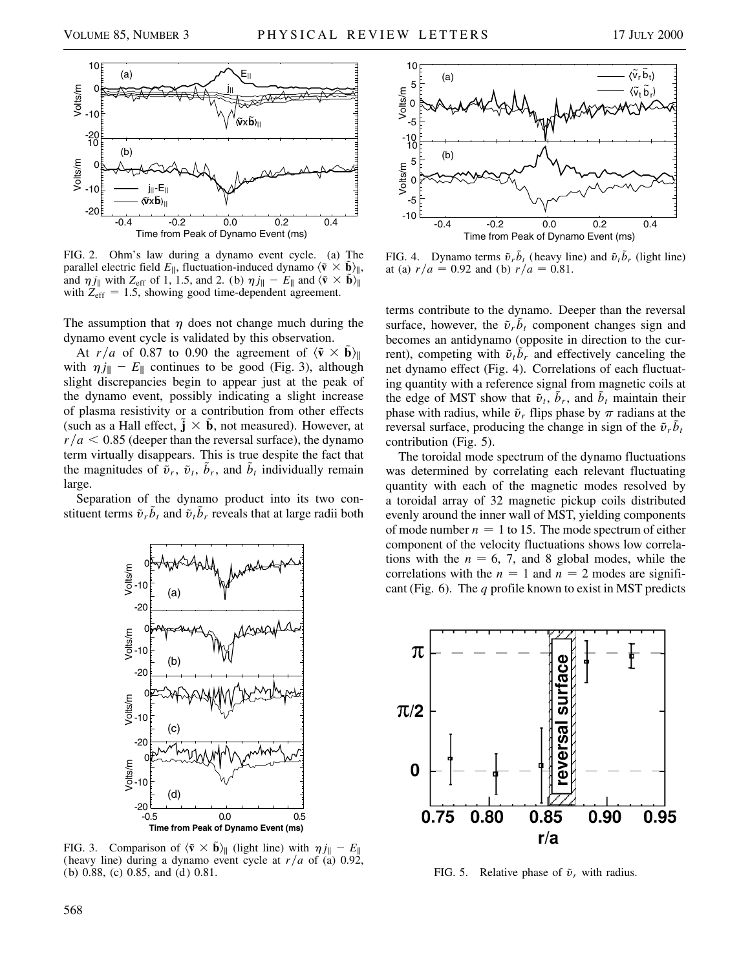

FIG. 2. Ohm's law during a dynamo event cycle. (a) The parallel electric field  $E_{\parallel}$ , fluctuation-induced dynamo  $\langle \tilde{\mathbf{v}} \times \tilde{\mathbf{b}} \rangle_{\parallel}$ , and  $\eta j_{\parallel}$  with  $Z_{\text{eff}}$  of 1, 1.5, and 2. (b)  $\eta j_{\parallel} - E_{\parallel}$  and  $\langle \tilde{\mathbf{v}} \times \tilde{\mathbf{b}} \rangle_{\parallel}$ with  $Z_{\text{eff}} = 1.5$ , showing good time-dependent agreement.

The assumption that  $\eta$  does not change much during the dynamo event cycle is validated by this observation.

At  $r/a$  of 0.87 to 0.90 the agreement of  $\langle \tilde{\mathbf{v}} \times \tilde{\mathbf{b}} \rangle_{\parallel}$ with  $\eta j_{\parallel} - E_{\parallel}$  continues to be good (Fig. 3), although slight discrepancies begin to appear just at the peak of the dynamo event, possibly indicating a slight increase of plasma resistivity or a contribution from other effects (such as a Hall effect,  $\mathbf{\tilde{j}} \times \mathbf{\tilde{b}}$ , not measured). However, at  $r/a < 0.85$  (deeper than the reversal surface), the dynamo term virtually disappears. This is true despite the fact that the magnitudes of  $\tilde{v}_r$ ,  $\tilde{v}_t$ ,  $\tilde{b}_r$ , and  $\tilde{b}_t$  individually remain large.

Separation of the dynamo product into its two constituent terms  $\tilde{v}_r \tilde{b}_t$  and  $\tilde{v}_t \tilde{b}_r$  reveals that at large radii both



FIG. 3. Comparison of  $\langle \tilde{\mathbf{v}} \times \tilde{\mathbf{b}} \rangle_{\parallel}$  (light line) with  $\eta j_{\parallel} - E_{\parallel}$ (heavy line) during a dynamo event cycle at  $r/a$  of (a) 0.92, (b) 0.88, (c) 0.85, and (d) 0.81.



FIG. 4. Dynamo terms  $\tilde{v}_r \tilde{b}_t$  (heavy line) and  $\tilde{v}_t \tilde{b}_r$  (light line) at (a)  $r/a = 0.92$  and (b)  $r/a = 0.81$ .

terms contribute to the dynamo. Deeper than the reversal surface, however, the  $\tilde{v}_r b_t$  component changes sign and becomes an antidynamo (opposite in direction to the current), competing with  $\tilde{v}_t b_r$  and effectively canceling the net dynamo effect (Fig. 4). Correlations of each fluctuating quantity with a reference signal from magnetic coils at the edge of MST show that  $\tilde{v}_t$ ,  $\tilde{b}_r$ , and  $\tilde{b}_t$  maintain their phase with radius, while  $\tilde{v}_r$  flips phase by  $\pi$  radians at the reversal surface, producing the change in sign of the  $\tilde{v}_r \tilde{b}_t$ contribution (Fig. 5).

The toroidal mode spectrum of the dynamo fluctuations was determined by correlating each relevant fluctuating quantity with each of the magnetic modes resolved by a toroidal array of 32 magnetic pickup coils distributed evenly around the inner wall of MST, yielding components of mode number  $n = 1$  to 15. The mode spectrum of either component of the velocity fluctuations shows low correlations with the  $n = 6, 7$ , and 8 global modes, while the correlations with the  $n = 1$  and  $n = 2$  modes are significant (Fig. 6). The *q* profile known to exist in MST predicts



FIG. 5. Relative phase of  $\tilde{v}_r$  with radius.